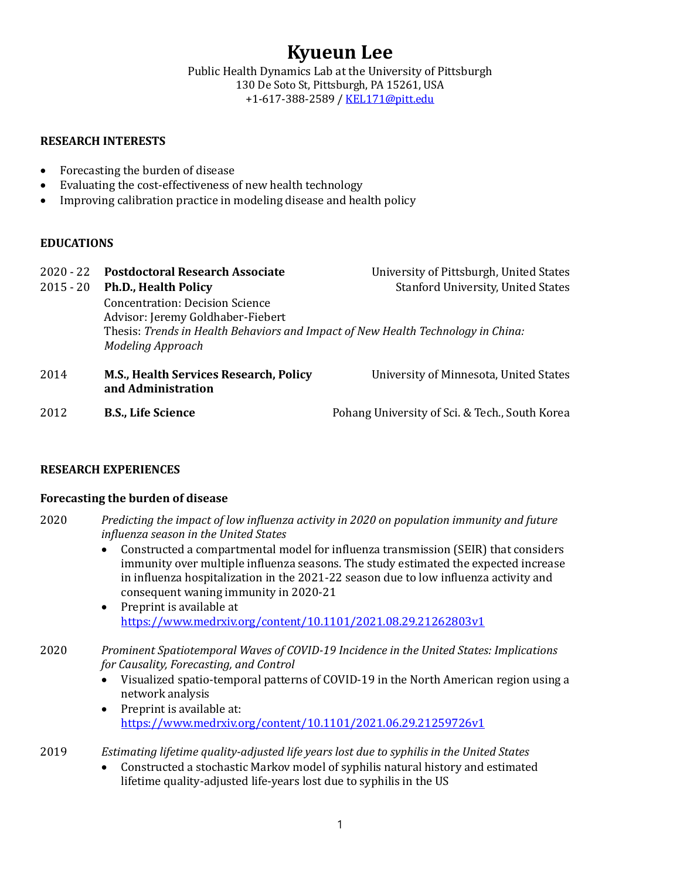# **Kyueun Lee**

Public Health Dynamics Lab at the University of Pittsburgh 130 De Soto St, Pittsburgh, PA 15261, USA +1-617-388-2589 / KEL171@pitt.edu

## **RESEARCH INTERESTS**

- $\bullet$  Forecasting the burden of disease
- Evaluating the cost-effectiveness of new health technology
- Improving calibration practice in modeling disease and health policy

### **EDUCATIONS**

| $2020 - 22$<br>$2015 - 20$ | <b>Postdoctoral Research Associate</b><br><b>Ph.D., Health Policy</b>                                                                                                                       | University of Pittsburgh, United States<br><b>Stanford University, United States</b> |
|----------------------------|---------------------------------------------------------------------------------------------------------------------------------------------------------------------------------------------|--------------------------------------------------------------------------------------|
|                            | <b>Concentration: Decision Science</b><br>Advisor: Jeremy Goldhaber-Fiebert<br>Thesis: Trends in Health Behaviors and Impact of New Health Technology in China:<br><b>Modeling Approach</b> |                                                                                      |
| 2014                       | M.S., Health Services Research, Policy<br>and Administration                                                                                                                                | University of Minnesota, United States                                               |
| 2012                       | <b>B.S., Life Science</b>                                                                                                                                                                   | Pohang University of Sci. & Tech., South Korea                                       |

### **RESEARCH EXPERIENCES**

### **Forecasting the burden of disease**

- 2020 Predicting the impact of low influenza activity in 2020 on population immunity and future *influenza season in the United States*
	- Constructed a compartmental model for influenza transmission (SEIR) that considers immunity over multiple influenza seasons. The study estimated the expected increase in influenza hospitalization in the 2021-22 season due to low influenza activity and consequent waning immunity in 2020-21
	- $\bullet$  Preprint is available at https://www.medrxiv.org/content/10.1101/2021.08.29.21262803v1

## 2020 *Prominent Spatiotemporal Waves of COVID-19 Incidence in the United States: Implications for Causality, Forecasting, and Control*

- Visualized spatio-temporal patterns of COVID-19 in the North American region using a network analysis
- $\bullet$  Preprint is available at: https://www.medrxiv.org/content/10.1101/2021.06.29.21259726v1
- 2019 Estimating lifetime quality-adjusted life years lost due to syphilis in the United States
	- Constructed a stochastic Markov model of syphilis natural history and estimated lifetime quality-adjusted life-years lost due to syphilis in the US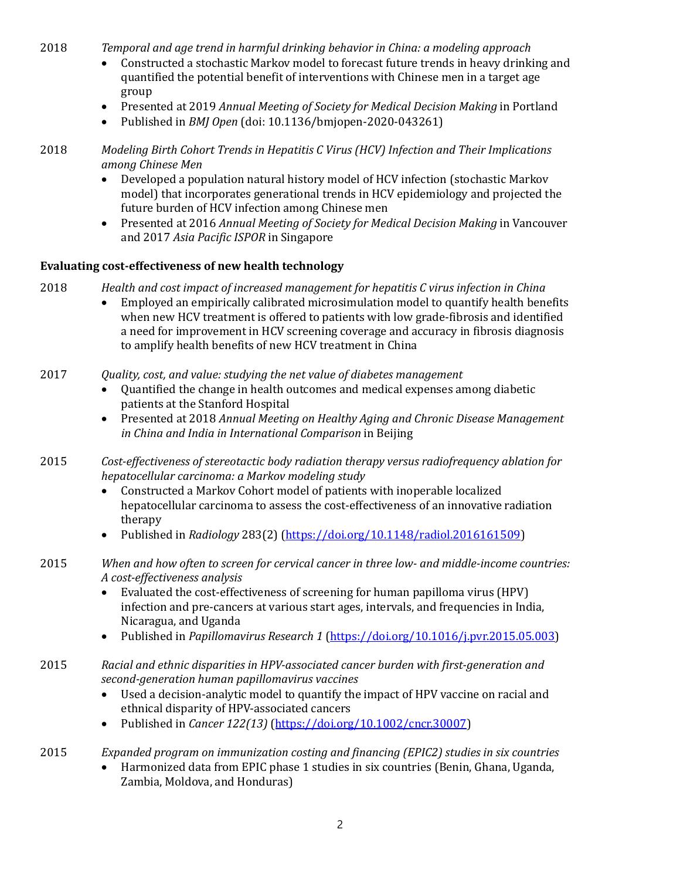2018 *Temporal and age trend in harmful drinking behavior in China: a modeling approach* 

- Constructed a stochastic Markov model to forecast future trends in heavy drinking and quantified the potential benefit of interventions with Chinese men in a target age group
- Presented at 2019 *Annual Meeting of Society for Medical Decision Making* in Portland
- Published in *BMJ Open* (doi: 10.1136/bmjopen-2020-043261)

2018 *Modeling Birth Cohort Trends in Hepatitis C Virus (HCV) Infection and Their Implications among Chinese Men*

- Developed a population natural history model of HCV infection (stochastic Markov model) that incorporates generational trends in HCV epidemiology and projected the future burden of HCV infection among Chinese men
- Presented at 2016 *Annual Meeting of Society for Medical Decision Making* in Vancouver and 2017 Asia Pacific ISPOR in Singapore

## **Evaluating cost-effectiveness of new health technology**

- 2018 Health and cost impact of increased management for hepatitis C virus infection in China
	- Employed an empirically calibrated microsimulation model to quantify health benefits when new HCV treatment is offered to patients with low grade-fibrosis and identified a need for improvement in HCV screening coverage and accuracy in fibrosis diagnosis to amplify health benefits of new HCV treatment in China
- 2017 *Quality, cost, and value: studying the net value of diabetes management* 
	- Quantified the change in health outcomes and medical expenses among diabetic patients at the Stanford Hospital
	- Presented at 2018 *Annual Meeting on Healthy Aging and Chronic Disease Management in China and India in International Comparison* in Beijing
- 2015 Cost-effectiveness of stereotactic body radiation therapy versus radiofrequency ablation for *hepatocellular carcinoma: a Markov modeling study* 
	- Constructed a Markov Cohort model of patients with inoperable localized hepatocellular carcinoma to assess the cost-effectiveness of an innovative radiation therapy
	- Published in *Radiology* 283(2) (https://doi.org/10.1148/radiol.2016161509)
- 2015 *When and how often to screen for cervical cancer in three low- and middle-income countries: A cost-effectiveness analysis*
	- Evaluated the cost-effectiveness of screening for human papilloma virus (HPV) infection and pre-cancers at various start ages, intervals, and frequencies in India, Nicaragua, and Uganda
	- Published in *Papillomavirus Research 1* (https://doi.org/10.1016/j.pvr.2015.05.003)
- 2015 Racial and ethnic disparities in HPV-associated cancer burden with first-generation and *second-generation human papillomavirus vaccines*
	- Used a decision-analytic model to quantify the impact of HPV vaccine on racial and ethnical disparity of HPV-associated cancers
	- Published in *Cancer* 122(13) (https://doi.org/10.1002/cncr.30007)
- 2015 *Expanded program on immunization costing and financing (EPIC2) studies in six countries* 
	- Harmonized data from EPIC phase 1 studies in six countries (Benin, Ghana, Uganda, Zambia, Moldova, and Honduras)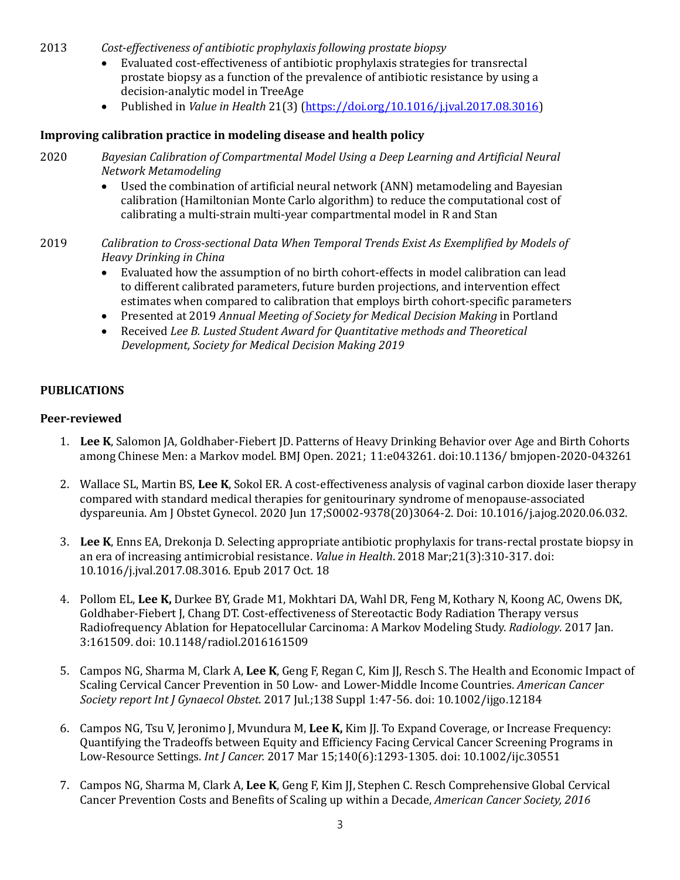- 2013 Cost-effectiveness of antibiotic prophylaxis following prostate biopsy
	- Evaluated cost-effectiveness of antibiotic prophylaxis strategies for transrectal prostate biopsy as a function of the prevalence of antibiotic resistance by using a decision-analytic model in TreeAge
	- Published in *Value in Health* 21(3) (https://doi.org/10.1016/j.jval.2017.08.3016)

## **Improving calibration practice in modeling disease and health policy**

- 2020 Bayesian Calibration of Compartmental Model Using a Deep Learning and Artificial Neural *Network Metamodeling*
	- Used the combination of artificial neural network (ANN) metamodeling and Bayesian calibration (Hamiltonian Monte Carlo algorithm) to reduce the computational cost of calibrating a multi-strain multi-year compartmental model in R and Stan
- 2019 *Calibration to Cross-sectional Data When Temporal Trends Exist As Exemplified by Models of Heavy Drinking in China*
	- Evaluated how the assumption of no birth cohort-effects in model calibration can lead to different calibrated parameters, future burden projections, and intervention effect estimates when compared to calibration that employs birth cohort-specific parameters
	- Presented at 2019 *Annual Meeting of Society for Medical Decision Making* in Portland
	- Received *Lee B. Lusted Student Award for Quantitative methods and Theoretical Development, Society for Medical Decision Making 2019*

### **PUBLICATIONS**

### **Peer-reviewed**

- 1. Lee K, Salomon JA, Goldhaber-Fiebert JD. Patterns of Heavy Drinking Behavior over Age and Birth Cohorts among Chinese Men: a Markov model. BMJ Open. 2021; 11:e043261. doi:10.1136/ bmjopen-2020-043261
- 2. Wallace SL, Martin BS, Lee K, Sokol ER. A cost-effectiveness analysis of vaginal carbon dioxide laser therapy compared with standard medical therapies for genitourinary syndrome of menopause-associated dyspareunia. Am J Obstet Gynecol. 2020 Jun 17;S0002-9378(20)3064-2. Doi: 10.1016/j.ajog.2020.06.032.
- 3. Lee K, Enns EA, Drekonja D. Selecting appropriate antibiotic prophylaxis for trans-rectal prostate biopsy in an era of increasing antimicrobial resistance. *Value in Health*. 2018 Mar;21(3):310-317. doi: 10.1016/j.jval.2017.08.3016. Epub 2017 Oct. 18
- 4. Pollom EL, Lee K, Durkee BY, Grade M1, Mokhtari DA, Wahl DR, Feng M, Kothary N, Koong AC, Owens DK, Goldhaber-Fiebert J, Chang DT. Cost-effectiveness of Stereotactic Body Radiation Therapy versus Radiofrequency Ablation for Hepatocellular Carcinoma: A Markov Modeling Study. *Radiology*. 2017 Jan. 3:161509. doi: 10.1148/radiol.2016161509
- 5. Campos NG, Sharma M, Clark A, Lee K, Geng F, Regan C, Kim J, Resch S. The Health and Economic Impact of Scaling Cervical Cancer Prevention in 50 Low- and Lower-Middle Income Countries. *American Cancer Society report Int J Gynaecol Obstet*. 2017 Jul.;138 Suppl 1:47-56. doi: 10.1002/ijgo.12184
- 6. Campos NG, Tsu V, Jeronimo J, Mvundura M, Lee K, Kim J. To Expand Coverage, or Increase Frequency: Quantifying the Tradeoffs between Equity and Efficiency Facing Cervical Cancer Screening Programs in Low-Resource Settings. *Int J Cancer.* 2017 Mar 15;140(6):1293-1305. doi: 10.1002/ijc.30551
- 7. Campos NG, Sharma M, Clark A, Lee K, Geng F, Kim JJ, Stephen C. Resch Comprehensive Global Cervical Cancer Prevention Costs and Benefits of Scaling up within a Decade, *American Cancer Society, 2016*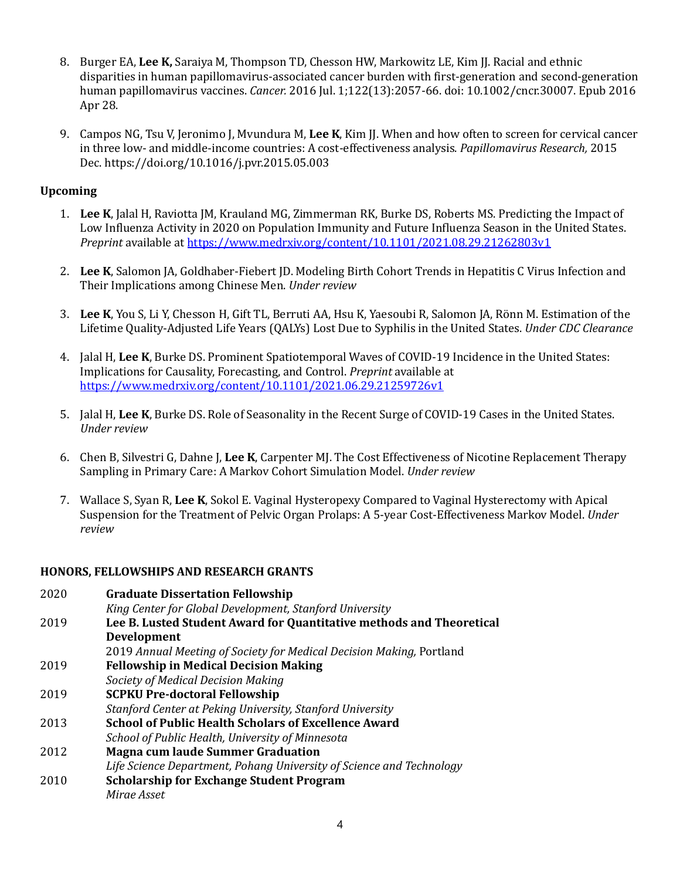- 8. Burger EA, Lee K, Saraiya M, Thompson TD, Chesson HW, Markowitz LE, Kim JJ. Racial and ethnic disparities in human papillomavirus-associated cancer burden with first-generation and second-generation human papillomavirus vaccines. *Cancer.* 2016 Jul. 1;122(13):2057-66. doi: 10.1002/cncr.30007. Epub 2016 Apr 28.
- 9. Campos NG, Tsu V, Jeronimo J, Mvundura M, Lee K, Kim JJ. When and how often to screen for cervical cancer in three low- and middle-income countries: A cost-effectiveness analysis. *Papillomavirus Research*, 2015 Dec. https://doi.org/10.1016/j.pvr.2015.05.003

## **Upcoming**

- 1. Lee K, Jalal H, Raviotta JM, Krauland MG, Zimmerman RK, Burke DS, Roberts MS. Predicting the Impact of Low Influenza Activity in 2020 on Population Immunity and Future Influenza Season in the United States. *Preprint* available at https://www.medrxiv.org/content/10.1101/2021.08.29.21262803v1
- 2. Lee K, Salomon JA, Goldhaber-Fiebert JD. Modeling Birth Cohort Trends in Hepatitis C Virus Infection and Their Implications among Chinese Men. *Under review*
- 3. Lee K, You S, Li Y, Chesson H, Gift TL, Berruti AA, Hsu K, Yaesoubi R, Salomon JA, Rönn M. Estimation of the Lifetime Quality-Adjusted Life Years (QALYs) Lost Due to Syphilis in the United States. *Under CDC Clearance*
- 4. Jalal H, Lee K, Burke DS. Prominent Spatiotemporal Waves of COVID-19 Incidence in the United States: Implications for Causality, Forecasting, and Control. *Preprint* available at https://www.medrxiv.org/content/10.1101/2021.06.29.21259726v1
- 5. Jalal H, Lee K, Burke DS. Role of Seasonality in the Recent Surge of COVID-19 Cases in the United States. *Under review*
- 6. Chen B, Silvestri G, Dahne J, Lee K, Carpenter MJ. The Cost Effectiveness of Nicotine Replacement Therapy Sampling in Primary Care: A Markov Cohort Simulation Model. *Under review*
- 7. Wallace S, Syan R, Lee K, Sokol E. Vaginal Hysteropexy Compared to Vaginal Hysterectomy with Apical Suspension for the Treatment of Pelvic Organ Prolaps: A 5-year Cost-Effectiveness Markov Model. *Under review*

## **HONORS, FELLOWSHIPS AND RESEARCH GRANTS**

| 2020 | <b>Graduate Dissertation Fellowship</b>                              |  |
|------|----------------------------------------------------------------------|--|
|      | King Center for Global Development, Stanford University              |  |
| 2019 | Lee B. Lusted Student Award for Quantitative methods and Theoretical |  |
|      | Development                                                          |  |
|      | 2019 Annual Meeting of Society for Medical Decision Making, Portland |  |
| 2019 | <b>Fellowship in Medical Decision Making</b>                         |  |
|      | Society of Medical Decision Making                                   |  |
| 2019 | <b>SCPKU Pre-doctoral Fellowship</b>                                 |  |
|      | Stanford Center at Peking University, Stanford University            |  |
| 2013 | <b>School of Public Health Scholars of Excellence Award</b>          |  |
|      | School of Public Health, University of Minnesota                     |  |
| 2012 | <b>Magna cum laude Summer Graduation</b>                             |  |
|      | Life Science Department, Pohang University of Science and Technology |  |
| 2010 | <b>Scholarship for Exchange Student Program</b>                      |  |
|      | Mirae Asset                                                          |  |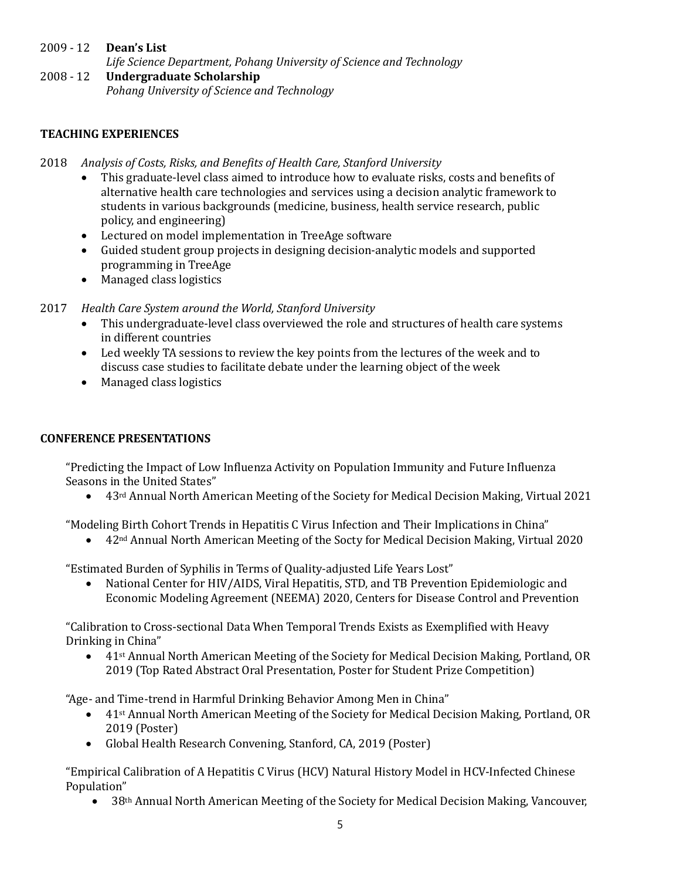- 2009 - 12 **Dean's List** *Life Science Department, Pohang University of Science and Technology*
- 2008 - 12 **Undergraduate Scholarship** *Pohang University of Science and Technology*

# **TEACHING EXPERIENCES**

- 2018 Analysis of Costs, Risks, and Benefits of Health Care, Stanford University
	- This graduate-level class aimed to introduce how to evaluate risks, costs and benefits of alternative health care technologies and services using a decision analytic framework to students in various backgrounds (medicine, business, health service research, public policy, and engineering)
	- Lectured on model implementation in TreeAge software
	- Guided student group projects in designing decision-analytic models and supported programming in TreeAge
	- Managed class logistics
- 2017 Health Care System around the World, Stanford University
	- This undergraduate-level class overviewed the role and structures of health care systems in different countries
	- Led weekly TA sessions to review the key points from the lectures of the week and to discuss case studies to facilitate debate under the learning object of the week
	- Managed class logistics

## **CONFERENCE PRESENTATIONS**

"Predicting the Impact of Low Influenza Activity on Population Immunity and Future Influenza Seasons in the United States"

• 43<sup>rd</sup> Annual North American Meeting of the Society for Medical Decision Making, Virtual 2021

"Modeling Birth Cohort Trends in Hepatitis C Virus Infection and Their Implications in China"

• 42<sup>nd</sup> Annual North American Meeting of the Socty for Medical Decision Making, Virtual 2020

"Estimated Burden of Syphilis in Terms of Quality-adjusted Life Years Lost"

• National Center for HIV/AIDS, Viral Hepatitis, STD, and TB Prevention Epidemiologic and Economic Modeling Agreement (NEEMA) 2020, Centers for Disease Control and Prevention

"Calibration to Cross-sectional Data When Temporal Trends Exists as Exemplified with Heavy Drinking in China"

• 41<sup>st</sup> Annual North American Meeting of the Society for Medical Decision Making, Portland, OR 2019 (Top Rated Abstract Oral Presentation, Poster for Student Prize Competition)

"Age- and Time-trend in Harmful Drinking Behavior Among Men in China"

- 41st Annual North American Meeting of the Society for Medical Decision Making, Portland, OR 2019 (Poster)
- Global Health Research Convening, Stanford, CA, 2019 (Poster)

"Empirical Calibration of A Hepatitis C Virus (HCV) Natural History Model in HCV-Infected Chinese Population"

• 38<sup>th</sup> Annual North American Meeting of the Society for Medical Decision Making, Vancouver,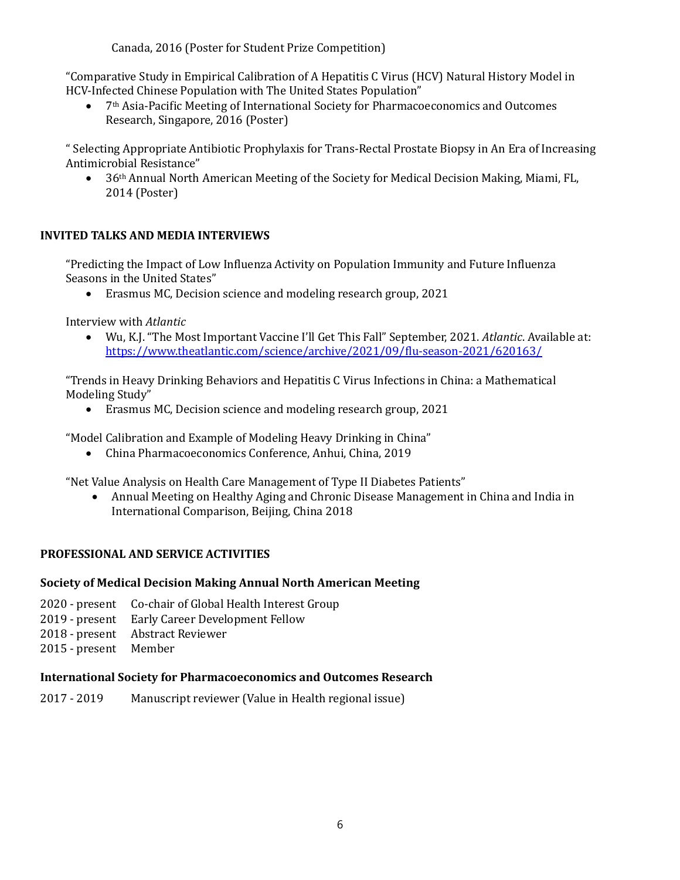Canada, 2016 (Poster for Student Prize Competition)

"Comparative Study in Empirical Calibration of A Hepatitis C Virus (HCV) Natural History Model in HCV-Infected Chinese Population with The United States Population"

• 7<sup>th</sup> Asia-Pacific Meeting of International Society for Pharmacoeconomics and Outcomes Research, Singapore, 2016 (Poster)

" Selecting Appropriate Antibiotic Prophylaxis for Trans-Rectal Prostate Biopsy in An Era of Increasing Antimicrobial Resistance"

36<sup>th</sup> Annual North American Meeting of the Society for Medical Decision Making, Miami, FL, 2014 (Poster)

## **INVITED TALKS AND MEDIA INTERVIEWS**

"Predicting the Impact of Low Influenza Activity on Population Immunity and Future Influenza Seasons in the United States"

• Erasmus MC, Decision science and modeling research group, 2021

Interview with *Atlantic* 

• Wu, K.J. "The Most Important Vaccine I'll Get This Fall" September, 2021. *Atlantic*. Available at: https://www.theatlantic.com/science/archive/2021/09/flu-season-2021/620163/

"Trends in Heavy Drinking Behaviors and Hepatitis C Virus Infections in China: a Mathematical Modeling Study"

• Erasmus MC, Decision science and modeling research group, 2021

"Model Calibration and Example of Modeling Heavy Drinking in China"

• China Pharmacoeconomics Conference, Anhui, China, 2019

"Net Value Analysis on Health Care Management of Type II Diabetes Patients"

• Annual Meeting on Healthy Aging and Chronic Disease Management in China and India in International Comparison, Beijing, China 2018

## **PROFESSIONAL AND SERVICE ACTIVITIES**

## **Society of Medical Decision Making Annual North American Meeting**

- 2020 present Co-chair of Global Health Interest Group
- 2019 present Early Career Development Fellow
- 2018 present Abstract Reviewer
- 2015 present Member

### **International Society for Pharmacoeconomics and Outcomes Research**

2017 - 2019 Manuscript reviewer (Value in Health regional issue)